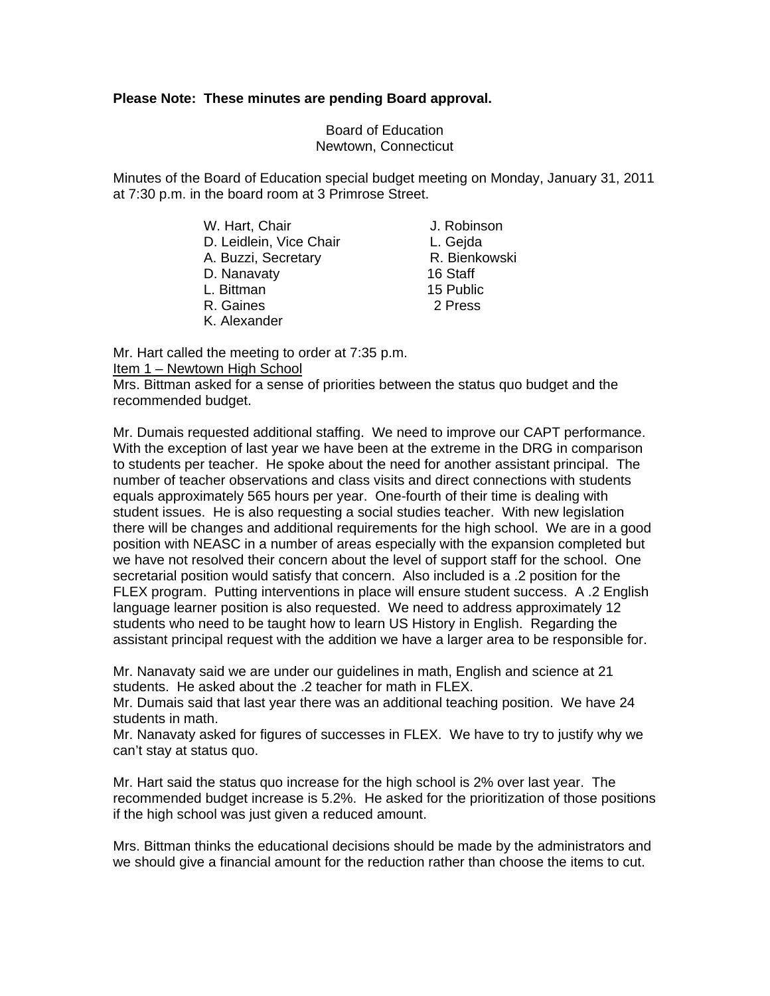### **Please Note: These minutes are pending Board approval.**

Board of Education Newtown, Connecticut

Minutes of the Board of Education special budget meeting on Monday, January 31, 2011 at 7:30 p.m. in the board room at 3 Primrose Street.

> W. Hart, Chair **J. Robinson** D. Leidlein, Vice Chair **L. Geida** A. Buzzi, Secretary **R. Bienkowski** D. Nanavaty 16 Staff L. Bittman 15 Public R. Gaines 2 Press

K. Alexander

Mr. Hart called the meeting to order at 7:35 p.m.

## Item 1 – Newtown High School

Mrs. Bittman asked for a sense of priorities between the status quo budget and the recommended budget.

Mr. Dumais requested additional staffing. We need to improve our CAPT performance. With the exception of last year we have been at the extreme in the DRG in comparison to students per teacher. He spoke about the need for another assistant principal. The number of teacher observations and class visits and direct connections with students equals approximately 565 hours per year. One-fourth of their time is dealing with student issues. He is also requesting a social studies teacher. With new legislation there will be changes and additional requirements for the high school. We are in a good position with NEASC in a number of areas especially with the expansion completed but we have not resolved their concern about the level of support staff for the school. One secretarial position would satisfy that concern. Also included is a .2 position for the FLEX program. Putting interventions in place will ensure student success. A .2 English language learner position is also requested. We need to address approximately 12 students who need to be taught how to learn US History in English. Regarding the assistant principal request with the addition we have a larger area to be responsible for.

Mr. Nanavaty said we are under our guidelines in math, English and science at 21 students. He asked about the .2 teacher for math in FLEX.

Mr. Dumais said that last year there was an additional teaching position. We have 24 students in math.

Mr. Nanavaty asked for figures of successes in FLEX. We have to try to justify why we can't stay at status quo.

Mr. Hart said the status quo increase for the high school is 2% over last year. The recommended budget increase is 5.2%. He asked for the prioritization of those positions if the high school was just given a reduced amount.

Mrs. Bittman thinks the educational decisions should be made by the administrators and we should give a financial amount for the reduction rather than choose the items to cut.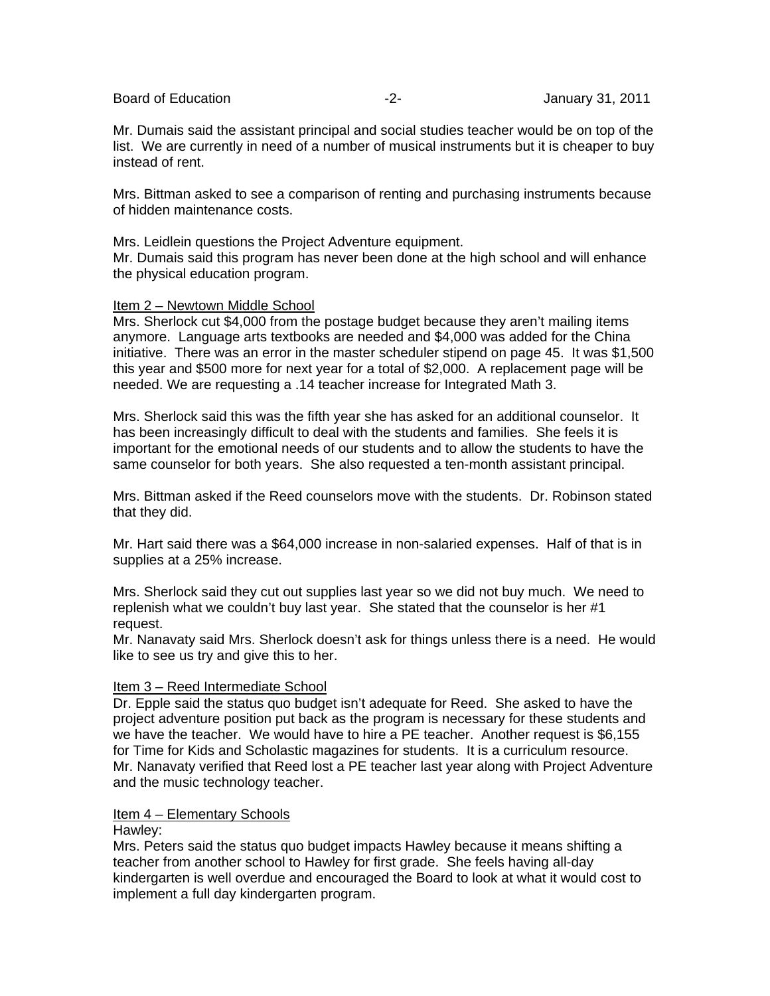Board of Education **-2-** Figure 2- **January 31, 2011** 

Mr. Dumais said the assistant principal and social studies teacher would be on top of the list. We are currently in need of a number of musical instruments but it is cheaper to buy instead of rent.

Mrs. Bittman asked to see a comparison of renting and purchasing instruments because of hidden maintenance costs.

Mrs. Leidlein questions the Project Adventure equipment. Mr. Dumais said this program has never been done at the high school and will enhance the physical education program.

## Item 2 – Newtown Middle School

Mrs. Sherlock cut \$4,000 from the postage budget because they aren't mailing items anymore. Language arts textbooks are needed and \$4,000 was added for the China initiative. There was an error in the master scheduler stipend on page 45. It was \$1,500 this year and \$500 more for next year for a total of \$2,000. A replacement page will be needed. We are requesting a .14 teacher increase for Integrated Math 3.

Mrs. Sherlock said this was the fifth year she has asked for an additional counselor. It has been increasingly difficult to deal with the students and families. She feels it is important for the emotional needs of our students and to allow the students to have the same counselor for both years. She also requested a ten-month assistant principal.

Mrs. Bittman asked if the Reed counselors move with the students. Dr. Robinson stated that they did.

Mr. Hart said there was a \$64,000 increase in non-salaried expenses. Half of that is in supplies at a 25% increase.

Mrs. Sherlock said they cut out supplies last year so we did not buy much. We need to replenish what we couldn't buy last year. She stated that the counselor is her #1 request.

Mr. Nanavaty said Mrs. Sherlock doesn't ask for things unless there is a need. He would like to see us try and give this to her.

# Item 3 – Reed Intermediate School

Dr. Epple said the status quo budget isn't adequate for Reed. She asked to have the project adventure position put back as the program is necessary for these students and we have the teacher. We would have to hire a PE teacher. Another request is \$6,155 for Time for Kids and Scholastic magazines for students. It is a curriculum resource. Mr. Nanavaty verified that Reed lost a PE teacher last year along with Project Adventure and the music technology teacher.

# Item 4 – Elementary Schools

### Hawley:

Mrs. Peters said the status quo budget impacts Hawley because it means shifting a teacher from another school to Hawley for first grade. She feels having all-day kindergarten is well overdue and encouraged the Board to look at what it would cost to implement a full day kindergarten program.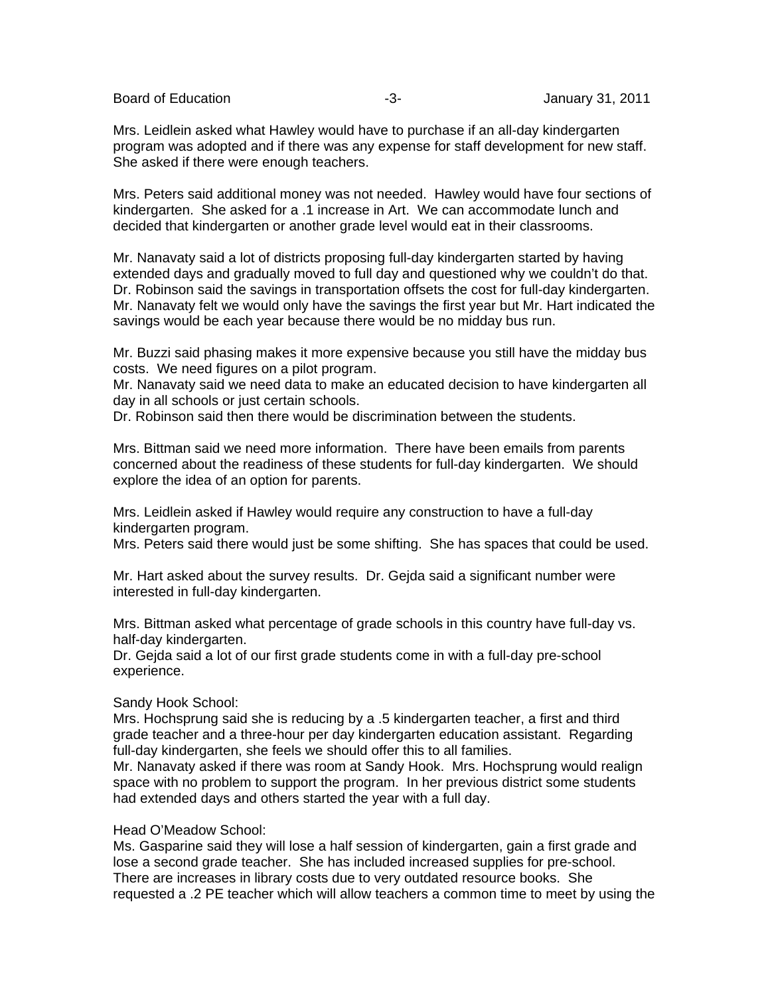Board of Education **-3-** Figure 31, 2011

Mrs. Leidlein asked what Hawley would have to purchase if an all-day kindergarten program was adopted and if there was any expense for staff development for new staff. She asked if there were enough teachers.

Mrs. Peters said additional money was not needed. Hawley would have four sections of kindergarten. She asked for a .1 increase in Art. We can accommodate lunch and decided that kindergarten or another grade level would eat in their classrooms.

Mr. Nanavaty said a lot of districts proposing full-day kindergarten started by having extended days and gradually moved to full day and questioned why we couldn't do that. Dr. Robinson said the savings in transportation offsets the cost for full-day kindergarten. Mr. Nanavaty felt we would only have the savings the first year but Mr. Hart indicated the savings would be each year because there would be no midday bus run.

Mr. Buzzi said phasing makes it more expensive because you still have the midday bus costs. We need figures on a pilot program.

Mr. Nanavaty said we need data to make an educated decision to have kindergarten all day in all schools or just certain schools.

Dr. Robinson said then there would be discrimination between the students.

Mrs. Bittman said we need more information. There have been emails from parents concerned about the readiness of these students for full-day kindergarten. We should explore the idea of an option for parents.

Mrs. Leidlein asked if Hawley would require any construction to have a full-day kindergarten program.

Mrs. Peters said there would just be some shifting. She has spaces that could be used.

Mr. Hart asked about the survey results. Dr. Gejda said a significant number were interested in full-day kindergarten.

Mrs. Bittman asked what percentage of grade schools in this country have full-day vs. half-day kindergarten.

Dr. Gejda said a lot of our first grade students come in with a full-day pre-school experience.

### Sandy Hook School:

Mrs. Hochsprung said she is reducing by a .5 kindergarten teacher, a first and third grade teacher and a three-hour per day kindergarten education assistant. Regarding full-day kindergarten, she feels we should offer this to all families.

Mr. Nanavaty asked if there was room at Sandy Hook. Mrs. Hochsprung would realign space with no problem to support the program. In her previous district some students had extended days and others started the year with a full day.

### Head O'Meadow School:

Ms. Gasparine said they will lose a half session of kindergarten, gain a first grade and lose a second grade teacher. She has included increased supplies for pre-school. There are increases in library costs due to very outdated resource books. She requested a .2 PE teacher which will allow teachers a common time to meet by using the